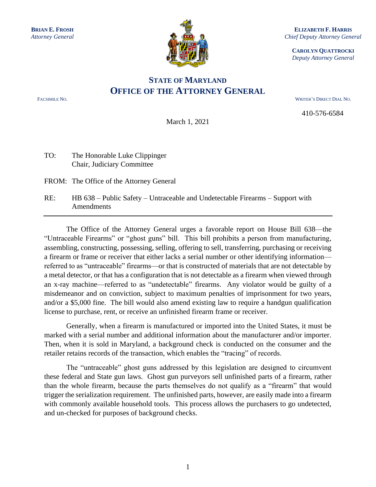

**ELIZABETH F. HARRIS** *Chief Deputy Attorney General*

**CAROLYN QUATTROCKI** *Deputy Attorney General*

## **STATE OF MARYLAND OFFICE OF THE ATTORNEY GENERAL**

FACSIMILE NO. WRITER'S DIRECT DIAL NO.

410-576-6584

March 1, 2021

## TO: The Honorable Luke Clippinger Chair, Judiciary Committee

FROM: The Office of the Attorney General

RE: HB 638 – Public Safety – Untraceable and Undetectable Firearms – Support with Amendments

The Office of the Attorney General urges a favorable report on House Bill 638—the "Untraceable Firearms" or "ghost guns" bill. This bill prohibits a person from manufacturing, assembling, constructing, possessing, selling, offering to sell, transferring, purchasing or receiving a firearm or frame or receiver that either lacks a serial number or other identifying information referred to as "untraceable" firearms—or that is constructed of materials that are not detectable by a metal detector, or that has a configuration that is not detectable as a firearm when viewed through an x-ray machine—referred to as "undetectable" firearms. Any violator would be guilty of a misdemeanor and on conviction, subject to maximum penalties of imprisonment for two years, and/or a \$5,000 fine. The bill would also amend existing law to require a handgun qualification license to purchase, rent, or receive an unfinished firearm frame or receiver.

Generally, when a firearm is manufactured or imported into the United States, it must be marked with a serial number and additional information about the manufacturer and/or importer. Then, when it is sold in Maryland, a background check is conducted on the consumer and the retailer retains records of the transaction, which enables the "tracing" of records.

The "untraceable" ghost guns addressed by this legislation are designed to circumvent these federal and State gun laws. Ghost gun purveyors sell unfinished parts of a firearm, rather than the whole firearm, because the parts themselves do not qualify as a "firearm" that would trigger the serialization requirement. The unfinished parts, however, are easily made into a firearm with commonly available household tools. This process allows the purchasers to go undetected, and un-checked for purposes of background checks.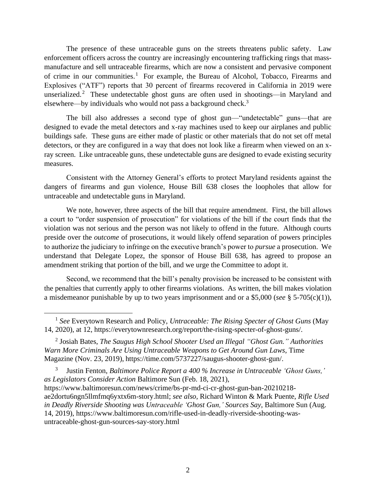The presence of these untraceable guns on the streets threatens public safety. Law enforcement officers across the country are increasingly encountering trafficking rings that massmanufacture and sell untraceable firearms, which are now a consistent and pervasive component of crime in our communities.<sup>1</sup> For example, the Bureau of Alcohol, Tobacco, Firearms and Explosives ("ATF") reports that 30 percent of firearms recovered in California in 2019 were unserialized.<sup>2</sup> These undetectable ghost guns are often used in shootings—in Maryland and elsewhere—by individuals who would not pass a background check.<sup>3</sup>

The bill also addresses a second type of ghost gun—"undetectable" guns—that are designed to evade the metal detectors and x-ray machines used to keep our airplanes and public buildings safe. These guns are either made of plastic or other materials that do not set off metal detectors, or they are configured in a way that does not look like a firearm when viewed on an xray screen. Like untraceable guns, these undetectable guns are designed to evade existing security measures.

Consistent with the Attorney General's efforts to protect Maryland residents against the dangers of firearms and gun violence, House Bill 638 closes the loopholes that allow for untraceable and undetectable guns in Maryland.

We note, however, three aspects of the bill that require amendment. First, the bill allows a court to "order suspension of prosecution" for violations of the bill if the court finds that the violation was not serious and the person was not likely to offend in the future. Although courts preside over the *outcome* of prosecutions, it would likely offend separation of powers principles to authorize the judiciary to infringe on the executive branch's power to *pursue* a prosecution. We understand that Delegate Lopez, the sponsor of House Bill 638, has agreed to propose an amendment striking that portion of the bill, and we urge the Committee to adopt it.

Second, we recommend that the bill's penalty provision be increased to be consistent with the penalties that currently apply to other firearms violations. As written, the bill makes violation a misdemeanor punishable by up to two years imprisonment and or a \$5,000 (*see* § 5-705(c)(1)),

<sup>&</sup>lt;sup>1</sup> See Everytown Research and Policy, *Untraceable: The Rising Specter of Ghost Guns* (May 14, 2020), at 12, https://everytownresearch.org/report/the-rising-specter-of-ghost-guns/.

<sup>2</sup> Josiah Bates, *The Saugus High School Shooter Used an Illegal "Ghost Gun." Authorities Warn More Criminals Are Using Untraceable Weapons to Get Around Gun Laws*, Time Magazine (Nov. 23, 2019), https://time.com/5737227/saugus-shooter-ghost-gun/.

<sup>3</sup> Justin Fenton, *Baltimore Police Report a 400 % Increase in Untraceable 'Ghost Guns,' as Legislators Consider Action* Baltimore Sun (Feb. 18, 2021), https://www.baltimoresun.com/news/crime/bs-pr-md-ci-cr-ghost-gun-ban-20210218 ae2dortu6ngn5llmfmq6yxtx6m-story.html; *see also,* Richard Winton & Mark Puente, *Rifle Used in Deadly Riverside Shooting was Untraceable 'Ghost Gun,' Sources Say*, Baltimore Sun (Aug. 14, 2019), https://www.baltimoresun.com/rifle-used-in-deadly-riverside-shooting-wasuntraceable-ghost-gun-sources-say-story.html